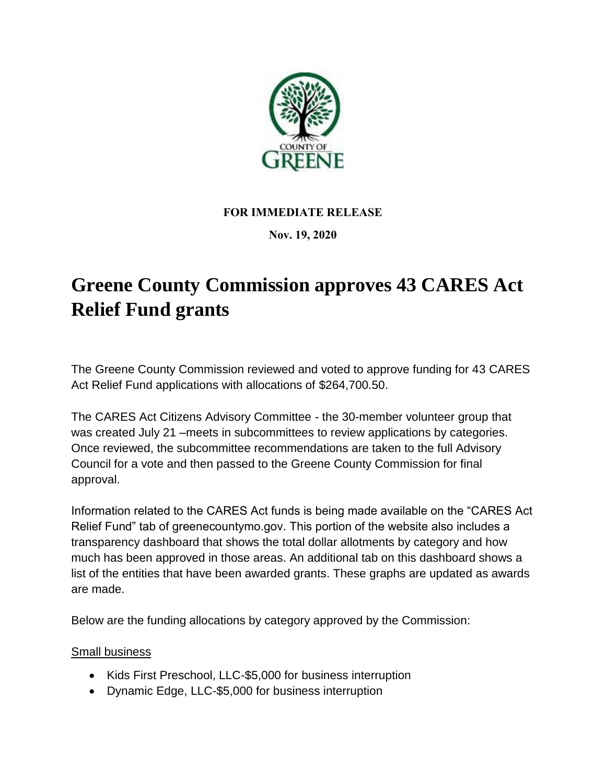

## **FOR IMMEDIATE RELEASE**

## **Nov. 19, 2020**

## **Greene County Commission approves 43 CARES Act Relief Fund grants**

The Greene County Commission reviewed and voted to approve funding for 43 CARES Act Relief Fund applications with allocations of \$264,700.50.

The CARES Act Citizens Advisory Committee - the 30-member volunteer group that was created July 21 –meets in subcommittees to review applications by categories. Once reviewed, the subcommittee recommendations are taken to the full Advisory Council for a vote and then passed to the Greene County Commission for final approval.

Information related to the CARES Act funds is being made available on the "CARES Act Relief Fund" tab of greenecountymo.gov. This portion of the website also includes a transparency dashboard that shows the total dollar allotments by category and how much has been approved in those areas. An additional tab on this dashboard shows a list of the entities that have been awarded grants. These graphs are updated as awards are made.

Below are the funding allocations by category approved by the Commission:

Small business

- Kids First Preschool, LLC-\$5,000 for business interruption
- Dynamic Edge, LLC-\$5,000 for business interruption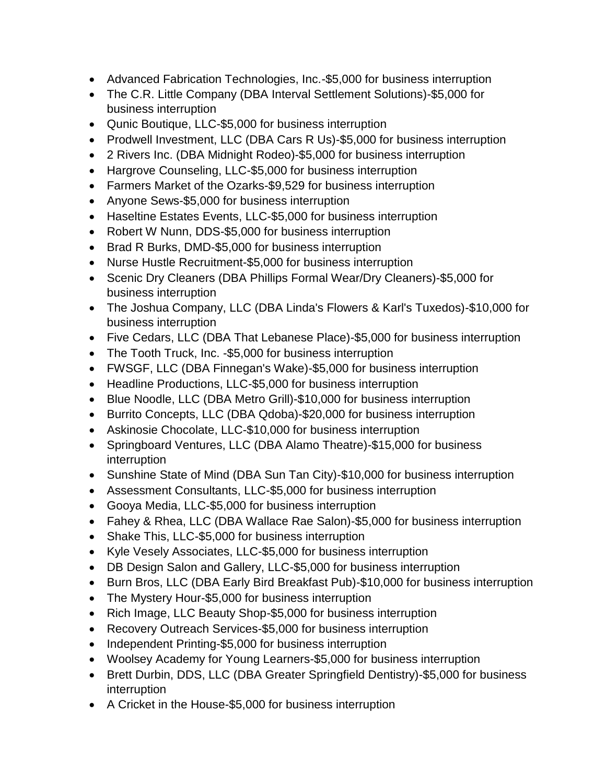- Advanced Fabrication Technologies, Inc.-\$5,000 for business interruption
- The C.R. Little Company (DBA Interval Settlement Solutions)-\$5,000 for business interruption
- Qunic Boutique, LLC-\$5,000 for business interruption
- Prodwell Investment, LLC (DBA Cars R Us)-\$5,000 for business interruption
- 2 Rivers Inc. (DBA Midnight Rodeo)-\$5,000 for business interruption
- Hargrove Counseling, LLC-\$5,000 for business interruption
- Farmers Market of the Ozarks-\$9,529 for business interruption
- Anyone Sews-\$5,000 for business interruption
- Haseltine Estates Events, LLC-\$5,000 for business interruption
- Robert W Nunn, DDS-\$5,000 for business interruption
- Brad R Burks, DMD-\$5,000 for business interruption
- Nurse Hustle Recruitment-\$5,000 for business interruption
- Scenic Dry Cleaners (DBA Phillips Formal Wear/Dry Cleaners)-\$5,000 for business interruption
- The Joshua Company, LLC (DBA Linda's Flowers & Karl's Tuxedos)-\$10,000 for business interruption
- Five Cedars, LLC (DBA That Lebanese Place)-\$5,000 for business interruption
- The Tooth Truck, Inc. -\$5,000 for business interruption
- FWSGF, LLC (DBA Finnegan's Wake)-\$5,000 for business interruption
- Headline Productions, LLC-\$5,000 for business interruption
- Blue Noodle, LLC (DBA Metro Grill)-\$10,000 for business interruption
- Burrito Concepts, LLC (DBA Qdoba)-\$20,000 for business interruption
- Askinosie Chocolate, LLC-\$10,000 for business interruption
- Springboard Ventures, LLC (DBA Alamo Theatre)-\$15,000 for business interruption
- Sunshine State of Mind (DBA Sun Tan City)-\$10,000 for business interruption
- Assessment Consultants, LLC-\$5,000 for business interruption
- Gooya Media, LLC-\$5,000 for business interruption
- Fahey & Rhea, LLC (DBA Wallace Rae Salon)-\$5,000 for business interruption
- Shake This, LLC-\$5,000 for business interruption
- Kyle Vesely Associates, LLC-\$5,000 for business interruption
- DB Design Salon and Gallery, LLC-\$5,000 for business interruption
- Burn Bros, LLC (DBA Early Bird Breakfast Pub)-\$10,000 for business interruption
- The Mystery Hour-\$5,000 for business interruption
- Rich Image, LLC Beauty Shop-\$5,000 for business interruption
- Recovery Outreach Services-\$5,000 for business interruption
- Independent Printing-\$5,000 for business interruption
- Woolsey Academy for Young Learners-\$5,000 for business interruption
- Brett Durbin, DDS, LLC (DBA Greater Springfield Dentistry)-\$5,000 for business interruption
- A Cricket in the House-\$5,000 for business interruption